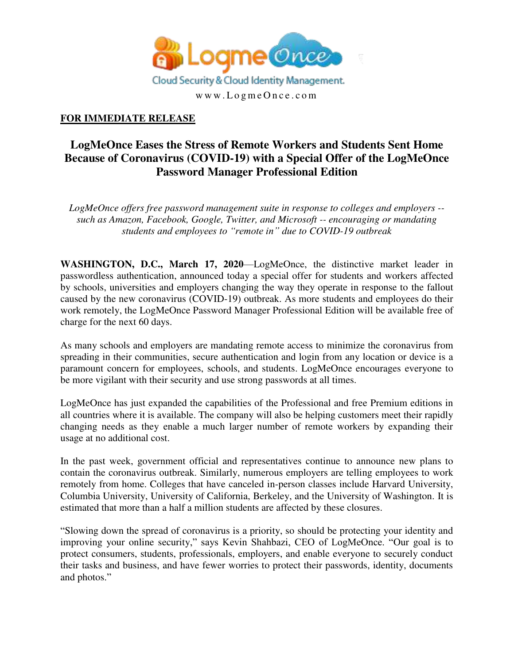

## **FOR IMMEDIATE RELEASE**

## **LogMeOnce Eases the Stress of Remote Workers and Students Sent Home Because of Coronavirus (COVID-19) with a Special Offer of the LogMeOnce Password Manager Professional Edition**

*LogMeOnce offers free password management suite in response to colleges and employers - such as Amazon, Facebook, Google, Twitter, and Microsoft -- encouraging or mandating students and employees to "remote in" due to COVID-19 outbreak* 

**WASHINGTON, D.C., March 17, 2020**—LogMeOnce, the distinctive market leader in passwordless authentication, announced today a special offer for students and workers affected by schools, universities and employers changing the way they operate in response to the fallout caused by the new coronavirus (COVID-19) outbreak. As more students and employees do their work remotely, the LogMeOnce Password Manager Professional Edition will be available free of charge for the next 60 days.

As many schools and employers are mandating remote access to minimize the coronavirus from spreading in their communities, secure authentication and login from any location or device is a paramount concern for employees, schools, and students. LogMeOnce encourages everyone to be more vigilant with their security and use strong passwords at all times.

LogMeOnce has just expanded the capabilities of the Professional and free Premium editions in all countries where it is available. The company will also be helping customers meet their rapidly changing needs as they enable a much larger number of remote workers by expanding their usage at no additional cost.

In the past week, government official and representatives continue to announce new plans to contain the coronavirus outbreak. Similarly, numerous employers are telling employees to work remotely from home. Colleges that have canceled in-person classes include Harvard University, Columbia University, University of California, Berkeley, and the University of Washington. It is estimated that more than a half a million students are affected by these closures.

"Slowing down the spread of coronavirus is a priority, so should be protecting your identity and improving your online security," says Kevin Shahbazi, CEO of LogMeOnce. "Our goal is to protect consumers, students, professionals, employers, and enable everyone to securely conduct their tasks and business, and have fewer worries to protect their passwords, identity, documents and photos."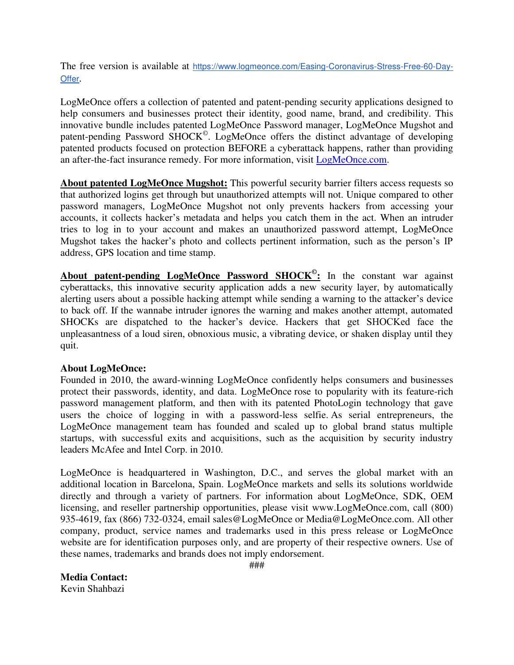The free version is available at [https://www.logmeonce.com/Easing-Coronavirus-Stress-Free-60-Day-](https://www.logmeonce.com/Easing-Coronavirus-Stress-Free-60-Day-Offer)[Offer](https://www.logmeonce.com/Easing-Coronavirus-Stress-Free-60-Day-Offer).

LogMeOnce offers a collection of patented and patent-pending security applications designed to help consumers and businesses protect their identity, good name, brand, and credibility. This innovative bundle includes patented LogMeOnce Password manager, LogMeOnce Mugshot and patent-pending Password SHOCK<sup>©</sup>. LogMeOnce offers the distinct advantage of developing patented products focused on protection BEFORE a cyberattack happens, rather than providing an after-the-fact insurance remedy. For more information, visit [LogMeOnce.com.](https://www.logmeonce.com/)

**About patented LogMeOnce Mugshot:** This powerful security barrier filters access requests so that authorized logins get through but unauthorized attempts will not. Unique compared to other password managers, LogMeOnce Mugshot not only prevents hackers from accessing your accounts, it collects hacker's metadata and helps you catch them in the act. When an intruder tries to log in to your account and makes an unauthorized password attempt, LogMeOnce Mugshot takes the hacker's photo and collects pertinent information, such as the person's IP address, GPS location and time stamp.

**About patent-pending LogMeOnce Password SHOCK© :** In the constant war against cyberattacks, this innovative security application adds a new security layer, by automatically alerting users about a possible hacking attempt while sending a warning to the attacker's device to back off. If the wannabe intruder ignores the warning and makes another attempt, automated SHOCKs are dispatched to the hacker's device. Hackers that get SHOCKed face the unpleasantness of a loud siren, obnoxious music, a vibrating device, or shaken display until they quit.

## **About LogMeOnce:**

Founded in 2010, the award-winning LogMeOnce confidently helps consumers and businesses protect their passwords, identity, and data. LogMeOnce rose to popularity with its feature-rich password management platform, and then with its patented PhotoLogin technology that gave users the choice of logging in with a password-less selfie. As serial entrepreneurs, the LogMeOnce management team has founded and scaled up to global brand status multiple startups, with successful exits and acquisitions, such as the acquisition by security industry leaders McAfee and Intel Corp. in 2010.

LogMeOnce is headquartered in Washington, D.C., and serves the global market with an additional location in Barcelona, Spain. LogMeOnce markets and sells its solutions worldwide directly and through a variety of partners. For information about LogMeOnce, SDK, OEM licensing, and reseller partnership opportunities, please visit www.LogMeOnce.com, call (800) 935-4619, fax (866) 732-0324, email sales@LogMeOnce or Media@LogMeOnce.com. All other company, product, service names and trademarks used in this press release or LogMeOnce website are for identification purposes only, and are property of their respective owners. Use of these names, trademarks and brands does not imply endorsement.

## **Media Contact:**

Kevin Shahbazi